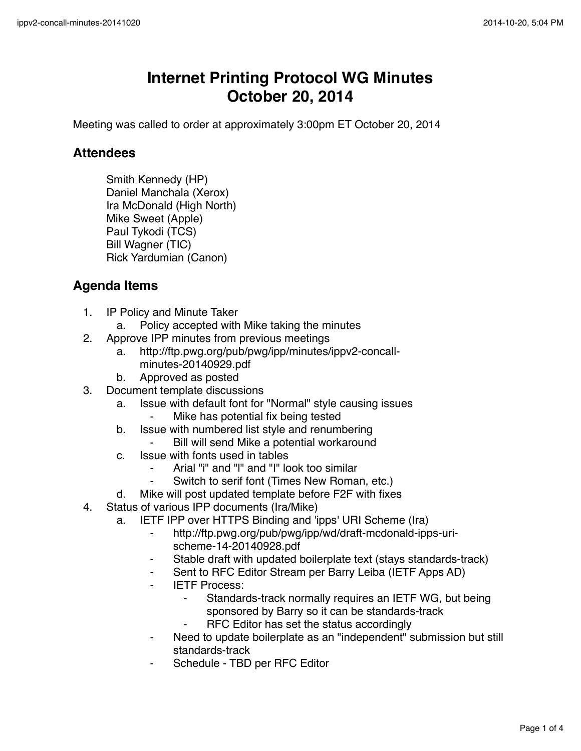## **Internet Printing Protocol WG Minutes October 20, 2014**

Meeting was called to order at approximately 3:00pm ET October 20, 2014

## **Attendees**

Smith Kennedy (HP) Daniel Manchala (Xerox) Ira McDonald (High North) Mike Sweet (Apple) Paul Tykodi (TCS) Bill Wagner (TIC) Rick Yardumian (Canon)

## **Agenda Items**

- 1. IP Policy and Minute Taker
	- a. Policy accepted with Mike taking the minutes
- 2. Approve IPP minutes from previous meetings
	- a. http://ftp.pwg.org/pub/pwg/ipp/minutes/ippv2-concallminutes-20140929.pdf
	- b. Approved as posted
- 3. Document template discussions
	- a. Issue with default font for "Normal" style causing issues
		- Mike has potential fix being tested
	- b. Issue with numbered list style and renumbering
		- Bill will send Mike a potential workaround
	- c. Issue with fonts used in tables
		- Arial "i" and "I" and "I" look too similar
		- Switch to serif font (Times New Roman, etc.)
	- d. Mike will post updated template before F2F with fixes
- 4. Status of various IPP documents (Ira/Mike)
	- a. IETF IPP over HTTPS Binding and 'ipps' URI Scheme (Ira)
		- ⁃ http://ftp.pwg.org/pub/pwg/ipp/wd/draft-mcdonald-ipps-urischeme-14-20140928.pdf
		- Stable draft with updated boilerplate text (stays standards-track)
		- ⁃ Sent to RFC Editor Stream per Barry Leiba (IETF Apps AD)
		- **IETF Process:** 
			- Standards-track normally requires an IETF WG, but being sponsored by Barry so it can be standards-track
				- RFC Editor has set the status accordingly
		- Need to update boilerplate as an "independent" submission but still standards-track
		- Schedule TBD per RFC Editor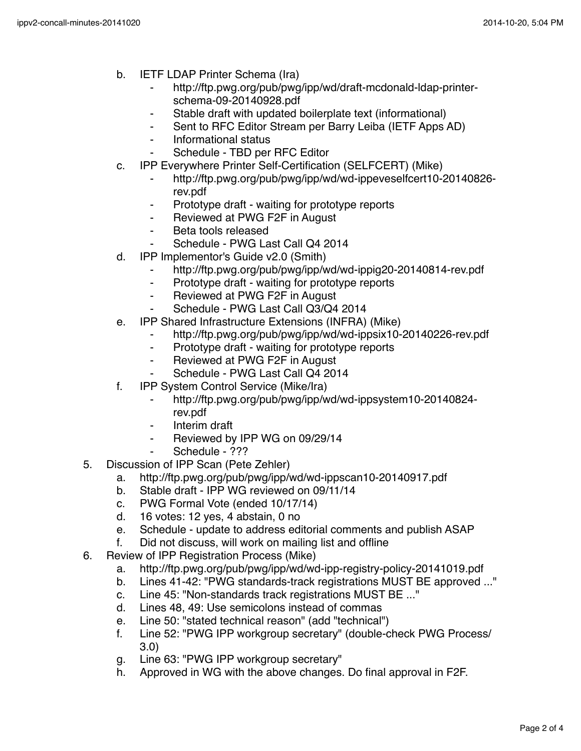- b. IETF LDAP Printer Schema (Ira)
	- http://ftp.pwg.org/pub/pwg/ipp/wd/draft-mcdonald-Idap-printerschema-09-20140928.pdf
	- Stable draft with updated boilerplate text (informational)
	- ⁃ Sent to RFC Editor Stream per Barry Leiba (IETF Apps AD)
	- ⁃ Informational status
	- Schedule TBD per RFC Editor
- c. IPP Everywhere Printer Self-Certification (SELFCERT) (Mike)
	- ⁃ http://ftp.pwg.org/pub/pwg/ipp/wd/wd-ippeveselfcert10-20140826 rev.pdf
	- Prototype draft waiting for prototype reports
	- ⁃ Reviewed at PWG F2F in August
	- Beta tools released
	- Schedule PWG Last Call Q4 2014
- d. IPP Implementor's Guide v2.0 (Smith)
	- http://ftp.pwg.org/pub/pwg/ipp/wd/wd-ippig20-20140814-rev.pdf
	- ⁃ Prototype draft waiting for prototype reports
	- ⁃ Reviewed at PWG F2F in August
	- Schedule PWG Last Call Q3/Q4 2014
- e. IPP Shared Infrastructure Extensions (INFRA) (Mike)
	- http://ftp.pwg.org/pub/pwg/ipp/wd/wd-ippsix10-20140226-rev.pdf
	- ⁃ Prototype draft waiting for prototype reports
	- ⁃ Reviewed at PWG F2F in August
	- Schedule PWG Last Call Q4 2014
- f. IPP System Control Service (Mike/Ira)
	- ⁃ http://ftp.pwg.org/pub/pwg/ipp/wd/wd-ippsystem10-20140824 rev.pdf
	- ⁃ Interim draft
	- Reviewed by IPP WG on 09/29/14
	- Schedule ???
- 5. Discussion of IPP Scan (Pete Zehler)
	- a. http://ftp.pwg.org/pub/pwg/ipp/wd/wd-ippscan10-20140917.pdf
	- b. Stable draft IPP WG reviewed on 09/11/14
	- c. PWG Formal Vote (ended 10/17/14)
	- d. 16 votes: 12 yes, 4 abstain, 0 no
	- e. Schedule update to address editorial comments and publish ASAP
	- f. Did not discuss, will work on mailing list and offline
- 6. Review of IPP Registration Process (Mike)
	- a. http://ftp.pwg.org/pub/pwg/ipp/wd/wd-ipp-registry-policy-20141019.pdf
	- b. Lines 41-42: "PWG standards-track registrations MUST BE approved ..."
	- c. Line 45: "Non-standards track registrations MUST BE ..."
	- d. Lines 48, 49: Use semicolons instead of commas
	- e. Line 50: "stated technical reason" (add "technical")
	- f. Line 52: "PWG IPP workgroup secretary" (double-check PWG Process/ 3.0)
	- g. Line 63: "PWG IPP workgroup secretary"
	- h. Approved in WG with the above changes. Do final approval in F2F.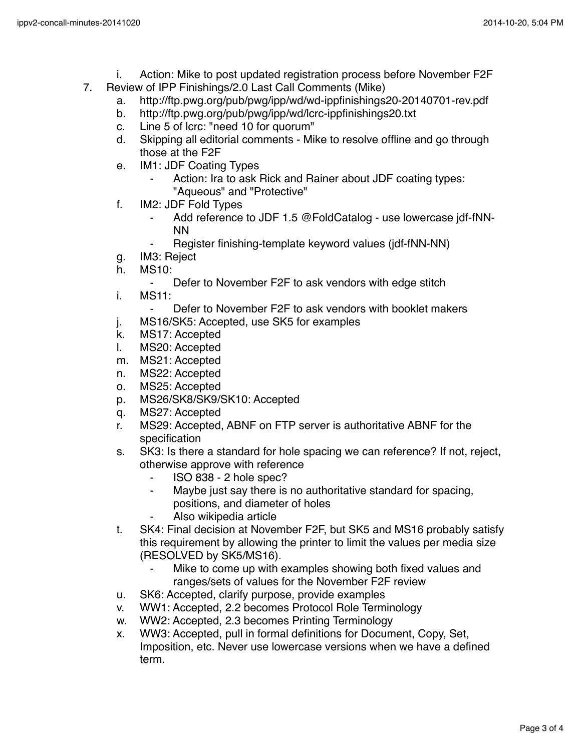- i. Action: Mike to post updated registration process before November F2F
- 7. Review of IPP Finishings/2.0 Last Call Comments (Mike)
	- a. http://ftp.pwg.org/pub/pwg/ipp/wd/wd-ippfinishings20-20140701-rev.pdf
	- b. http://ftp.pwg.org/pub/pwg/ipp/wd/lcrc-ippfinishings20.txt
	- c. Line 5 of lcrc: "need 10 for quorum"<br>d. Skipping all editorial comments Mi
	- Skipping all editorial comments Mike to resolve offline and go through those at the F2F
	- e. IM1: JDF Coating Types
		- Action: Ira to ask Rick and Rainer about JDF coating types: "Aqueous" and "Protective"
	- f. IM2: JDF Fold Types
		- ⁃ Add reference to JDF 1.5 @FoldCatalog use lowercase jdf-fNN-NN
		- Register finishing-template keyword values (jdf-fNN-NN)
	- g. IM3: Reject
	- h. MS10:
		- ⁃ Defer to November F2F to ask vendors with edge stitch
	- i. MS11:
		- ⁃ Defer to November F2F to ask vendors with booklet makers
	- j. MS16/SK5: Accepted, use SK5 for examples
	- k. MS17: Accepted
	- l. MS20: Accepted
	- m. MS21: Accepted
	- n. MS22: Accepted
	- o. MS25: Accepted
	- p. MS26/SK8/SK9/SK10: Accepted
	- q. MS27: Accepted
	- r. MS29: Accepted, ABNF on FTP server is authoritative ABNF for the specification
	- s. SK3: Is there a standard for hole spacing we can reference? If not, reject, otherwise approve with reference
		- ⁃ ISO 838 2 hole spec?
		- ⁃ Maybe just say there is no authoritative standard for spacing, positions, and diameter of holes
			- Also wikipedia article
	- t. SK4: Final decision at November F2F, but SK5 and MS16 probably satisfy this requirement by allowing the printer to limit the values per media size (RESOLVED by SK5/MS16).
		- Mike to come up with examples showing both fixed values and ranges/sets of values for the November F2F review
	- u. SK6: Accepted, clarify purpose, provide examples
	- v. WW1: Accepted, 2.2 becomes Protocol Role Terminology
	- w. WW2: Accepted, 2.3 becomes Printing Terminology
	- x. WW3: Accepted, pull in formal definitions for Document, Copy, Set, Imposition, etc. Never use lowercase versions when we have a defined term.